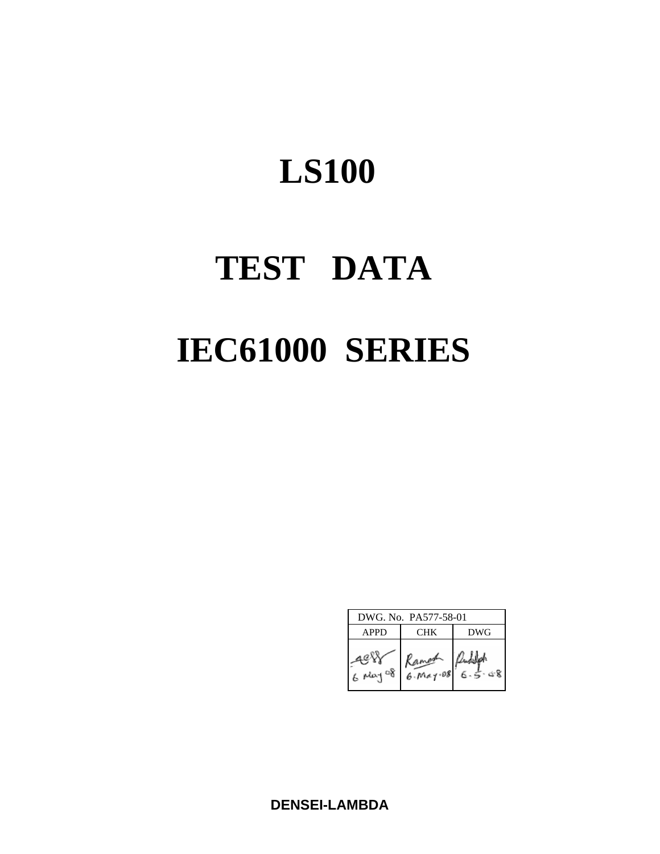# **TEST DATA IEC61000 SERIES**

| DWG. No. PA577-58-01 |                         |     |  |  |  |  |  |
|----------------------|-------------------------|-----|--|--|--|--|--|
| <b>APPD</b>          | <b>CHK</b>              | DWG |  |  |  |  |  |
| $6$ May<br>్య        | Ramoon<br>$6.$ May $08$ |     |  |  |  |  |  |

**DENSEI-LAMBDA**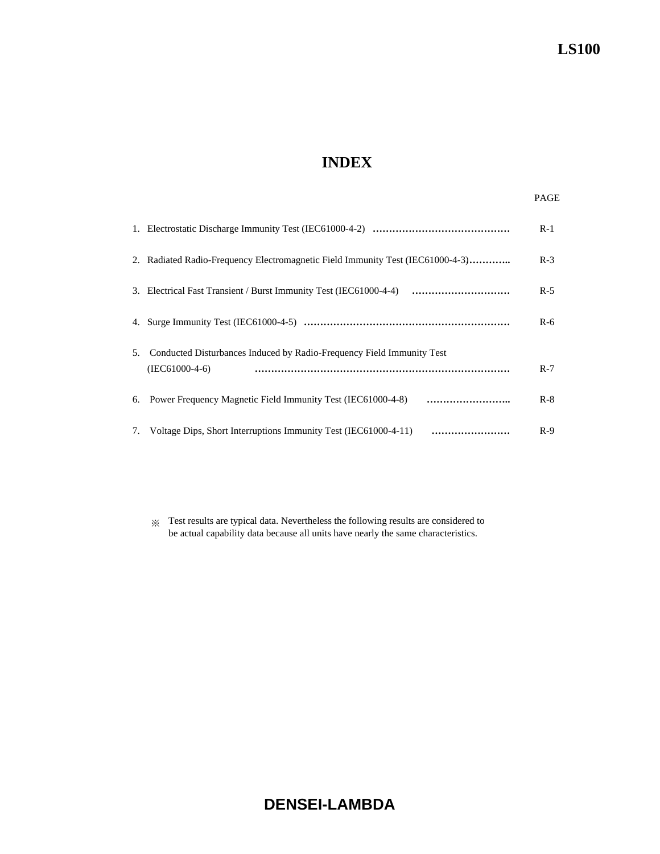# **INDEX**

|    |                                                                                           | $R-1$ |
|----|-------------------------------------------------------------------------------------------|-------|
|    | 2. Radiated Radio-Frequency Electromagnetic Field Immunity Test (IEC61000-4-3)            | $R-3$ |
|    |                                                                                           | $R-5$ |
|    |                                                                                           | $R-6$ |
| 5. | Conducted Disturbances Induced by Radio-Frequency Field Immunity Test<br>$(IEC61000-4-6)$ | $R-7$ |
|    | 6. Power Frequency Magnetic Field Immunity Test (IEC61000-4-8)                            | $R-8$ |
|    | 7. Voltage Dips, Short Interruptions Immunity Test (IEC61000-4-11)<br>                    | $R-9$ |

※ Test results are typical data. Nevertheless the following results are considered to be actual capability data because all units have nearly the same characteristics.

# **DENSEI-LAMBDA**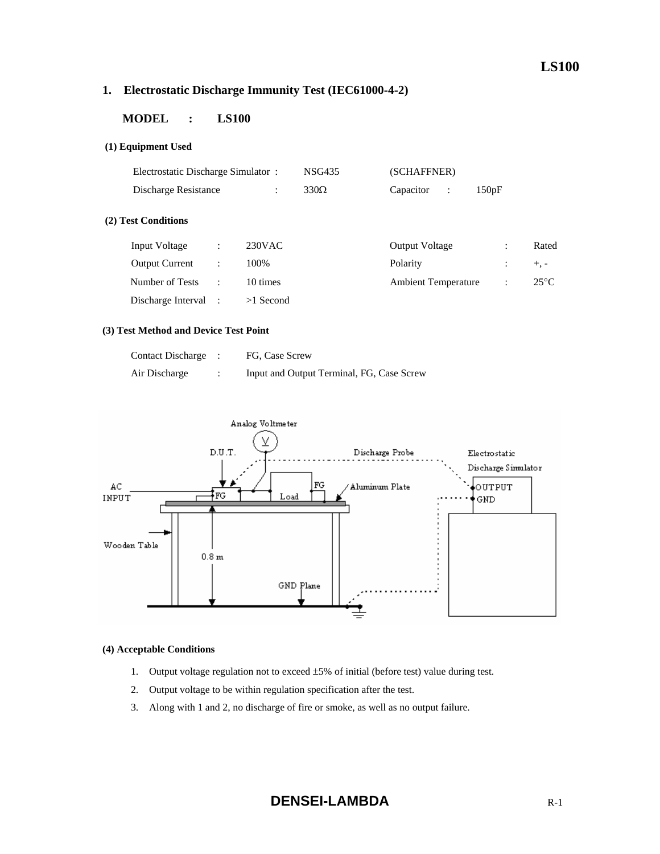# **1. Electrostatic Discharge Immunity Test (IEC61000-4-2)**

# **MODEL : LS100**

#### **(1) Equipment Used**

|                       | Electrostatic Discharge Simulator: |             |             | (SCHAFFNER)                 |                      |                |  |
|-----------------------|------------------------------------|-------------|-------------|-----------------------------|----------------------|----------------|--|
| Discharge Resistance  |                                    | ÷           | $330\Omega$ | Capacitor<br>$\ddot{\cdot}$ | 150pF                |                |  |
| (2) Test Conditions   |                                    |             |             |                             |                      |                |  |
| Input Voltage         | ÷                                  | $230$ VAC   |             | <b>Output Voltage</b>       | ÷                    | Rated          |  |
| <b>Output Current</b> | $\ddot{\phantom{a}}$               | 100%        |             | Polarity                    | $\ddot{\cdot}$       | $+$ , -        |  |
| Number of Tests       | $\ddot{\phantom{a}}$               | 10 times    |             | <b>Ambient Temperature</b>  | $\ddot{\phantom{a}}$ | $25^{\circ}$ C |  |
| Discharge Interval    |                                    | $>1$ Second |             |                             |                      |                |  |

#### **(3) Test Method and Device Test Point**

| <b>Contact Discharge</b> | FG, Case Screw                            |
|--------------------------|-------------------------------------------|
| Air Discharge            | Input and Output Terminal, FG, Case Screw |



#### **(4) Acceptable Conditions**

- 1. Output voltage regulation not to exceed  $\pm 5\%$  of initial (before test) value during test.
- 2. Output voltage to be within regulation specification after the test.
- 3. Along with 1 and 2, no discharge of fire or smoke, as well as no output failure.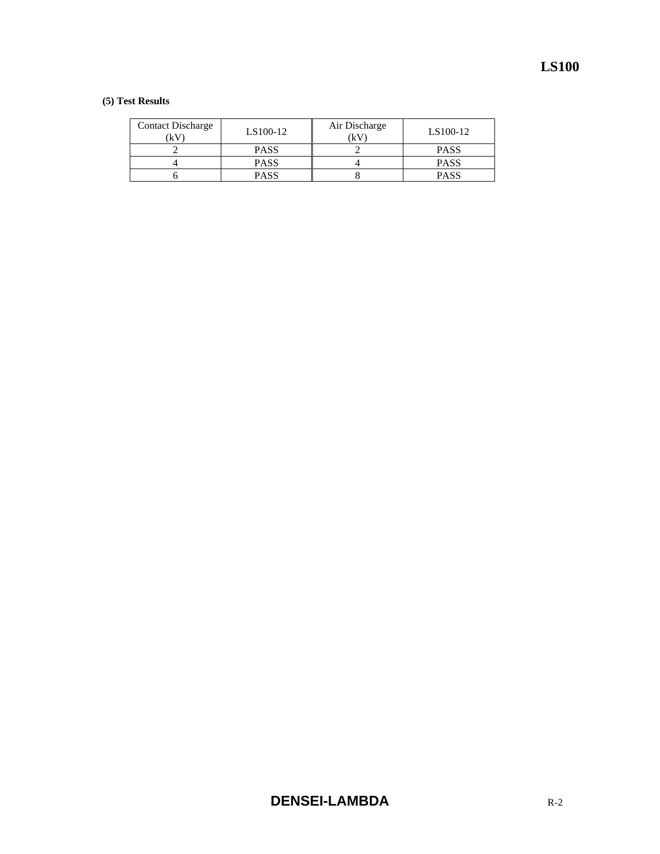| <b>Contact Discharge</b><br>(kV | LS100-12    | Air Discharge<br>(kV | LS100-12    |
|---------------------------------|-------------|----------------------|-------------|
|                                 | <b>PASS</b> |                      | <b>PASS</b> |
|                                 | <b>PASS</b> |                      | <b>PASS</b> |
|                                 | <b>PASS</b> |                      | <b>PASS</b> |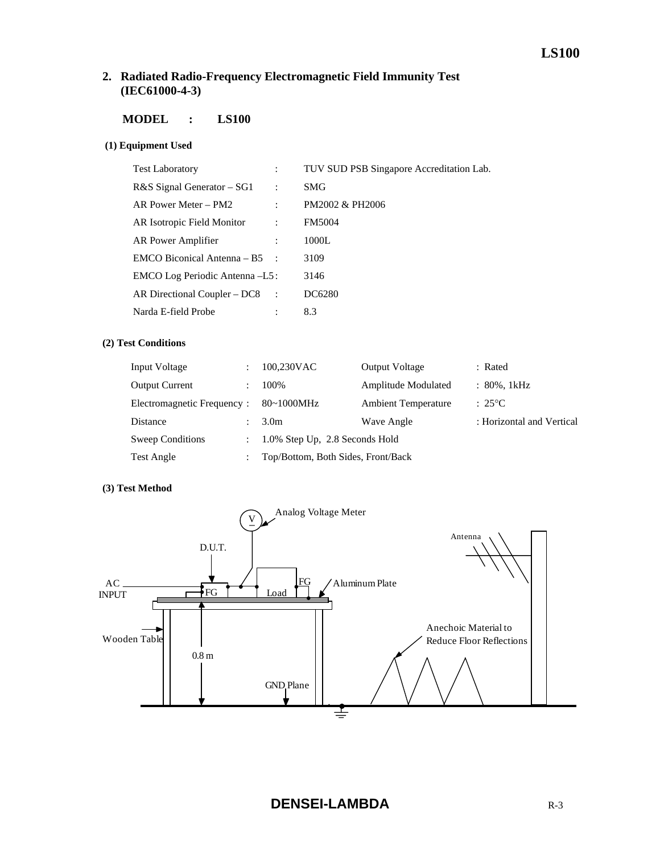# **2. Radiated Radio-Frequency Electromagnetic Field Immunity Test (IEC61000-4-3)**

# **MODEL : LS100**

#### **(1) Equipment Used**

|                                 | TUV SUD PSB Singapore Accreditation Lab. |
|---------------------------------|------------------------------------------|
| $\ddot{\cdot}$                  | SMG                                      |
| $\ddot{\phantom{a}}$            | PM2002 & PH2006                          |
|                                 | <b>FM5004</b>                            |
|                                 | 1000L                                    |
| EMCO Biconical Antenna – $B5$ : | 3109                                     |
| EMCO Log Periodic Antenna -L5:  | 3146                                     |
| AR Directional Coupler $-DC8$ : | DC6280                                   |
|                                 | 8.3                                      |
|                                 |                                          |

#### **(2) Test Conditions**

| Input Voltage              |                | 100,230VAC                         | <b>Output Voltage</b>      | : Rated                   |
|----------------------------|----------------|------------------------------------|----------------------------|---------------------------|
| <b>Output Current</b>      |                | 100%                               | Amplitude Modulated        | $: 80\%$ , 1kHz           |
| Electromagnetic Frequency: |                | 80~1000MHz                         | <b>Ambient Temperature</b> | $: 25^{\circ}C$           |
| Distance                   |                | 3.0 <sub>m</sub>                   | Wave Angle                 | : Horizontal and Vertical |
| <b>Sweep Conditions</b>    | $\mathbb{R}^n$ | 1.0% Step Up, 2.8 Seconds Hold     |                            |                           |
| Test Angle                 |                | Top/Bottom, Both Sides, Front/Back |                            |                           |

#### **(3) Test Method**

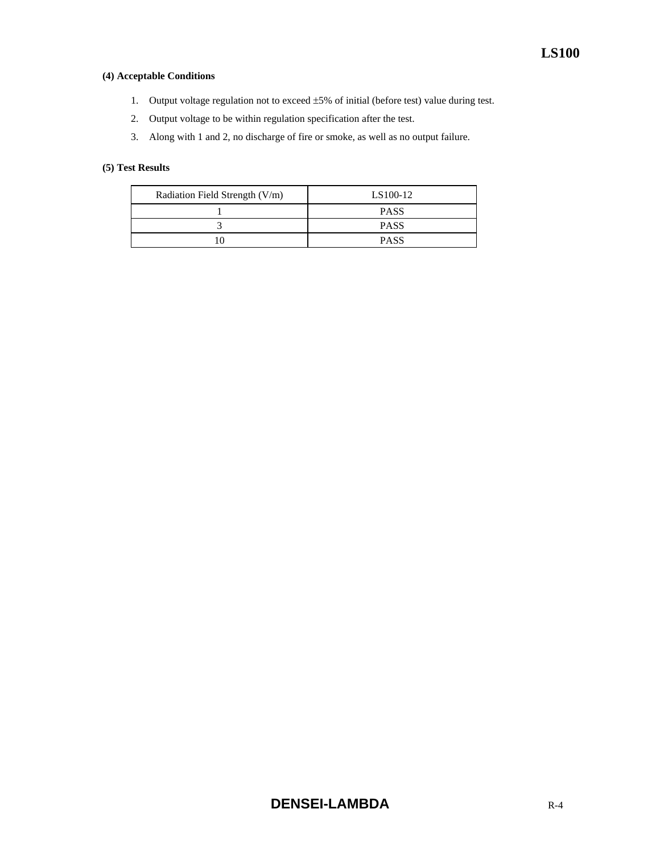#### **(4) Acceptable Conditions**

- 1. Output voltage regulation not to exceed ±5% of initial (before test) value during test.
- 2. Output voltage to be within regulation specification after the test.
- 3. Along with 1 and 2, no discharge of fire or smoke, as well as no output failure.

| Radiation Field Strength (V/m) | LS100-12    |
|--------------------------------|-------------|
|                                | <b>PASS</b> |
|                                | <b>PASS</b> |
|                                | <b>PASS</b> |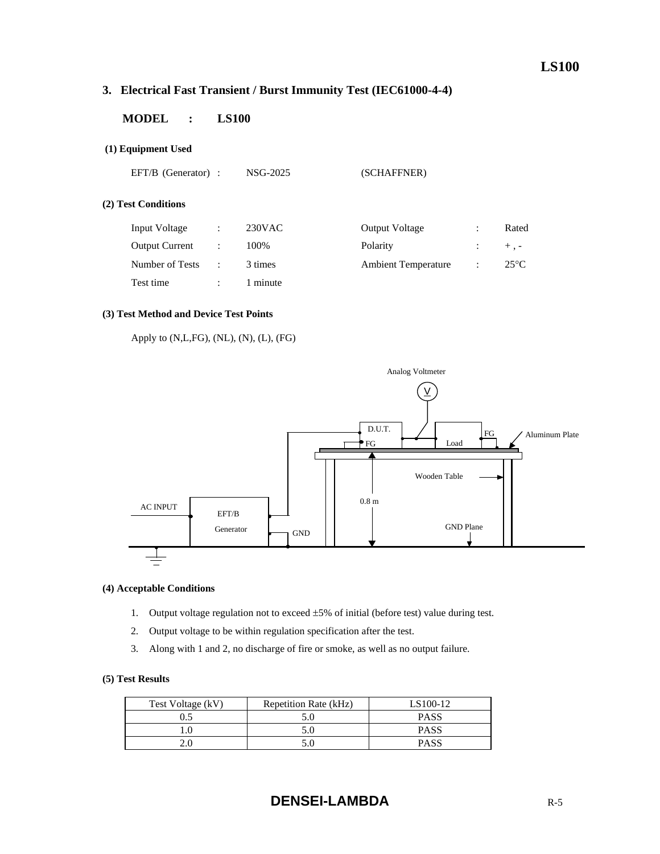# **3. Electrical Fast Transient / Burst Immunity Test (IEC61000-4-4)**

# **MODEL : LS100**

#### **(1) Equipment Used**

EFT/B (Generator) : NSG-2025 (SCHAFFNER)

#### **(2) Test Conditions**

| <b>Input Voltage</b>  | ÷ | $230$ VAC | <b>Output Voltage</b>      |                | Rated         |
|-----------------------|---|-----------|----------------------------|----------------|---------------|
| <b>Output Current</b> |   | 100%      | Polarity                   |                | $+$ , $-$     |
| Number of Tests       | ٠ | 3 times   | <b>Ambient Temperature</b> | $\mathbb{R}^2$ | $25^{\circ}C$ |
| Test time             |   | minute    |                            |                |               |

#### **(3) Test Method and Device Test Points**

Apply to (N,L,FG), (NL), (N), (L), (FG)



#### **(4) Acceptable Conditions**

- 1. Output voltage regulation not to exceed ±5% of initial (before test) value during test.
- 2. Output voltage to be within regulation specification after the test.
- 3. Along with 1 and 2, no discharge of fire or smoke, as well as no output failure.

| Test Voltage (kV) | Repetition Rate (kHz) | LS100-12    |
|-------------------|-----------------------|-------------|
| 0.5               |                       | <b>PASS</b> |
|                   |                       | <b>PASS</b> |
| 2.0               |                       | <b>PASS</b> |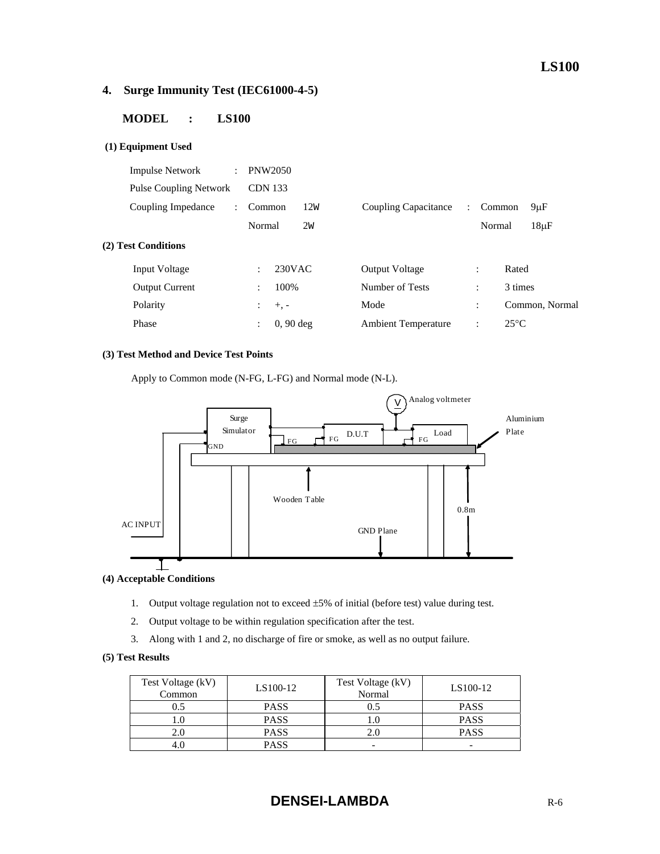# **4. Surge Immunity Test (IEC61000-4-5)**

# **MODEL : LS100**

#### **(1) Equipment Used**

| <b>Impulse Network</b>        | $\ddot{\phantom{a}}$ | <b>PNW2050</b>                      |     |                            |                      |                      |                 |
|-------------------------------|----------------------|-------------------------------------|-----|----------------------------|----------------------|----------------------|-----------------|
| <b>Pulse Coupling Network</b> |                      | <b>CDN 133</b>                      |     |                            |                      |                      |                 |
| Coupling Impedance            | $\mathcal{L}$        | Common                              | 12W | Coupling Capacitance       | $\ddot{\phantom{a}}$ | Common               | 9 <sub>µF</sub> |
|                               |                      | Normal                              | 2w  |                            |                      | Normal               | $18\mu F$       |
| (2) Test Conditions           |                      |                                     |     |                            |                      |                      |                 |
| Input Voltage                 |                      | 230VAC<br>$\ddot{\cdot}$            |     | <b>Output Voltage</b>      |                      | $\ddot{\cdot}$       | Rated           |
| <b>Output Current</b>         |                      | 100%<br>$\bullet$                   |     | Number of Tests            |                      | $\ddot{\cdot}$       | 3 times         |
| Polarity                      |                      | ÷<br>$+$ , $-$                      |     | Mode                       |                      | $\ddot{\phantom{a}}$ | Common, Normal  |
| Phase                         |                      | $0, 90$ deg<br>$\ddot{\phantom{a}}$ |     | <b>Ambient Temperature</b> |                      | $\ddot{\cdot}$       | $25^{\circ}$ C  |
|                               |                      |                                     |     |                            |                      |                      |                 |

#### **(3) Test Method and Device Test Points**

Apply to Common mode (N-FG, L-FG) and Normal mode (N-L).



#### **(4) Acceptable Conditions**

- 1. Output voltage regulation not to exceed ±5% of initial (before test) value during test.
- 2. Output voltage to be within regulation specification after the test.
- 3. Along with 1 and 2, no discharge of fire or smoke, as well as no output failure.

| Test Voltage (kV)<br>Common | LS100-12    | Test Voltage (kV)<br>Normal | LS100-12                 |
|-----------------------------|-------------|-----------------------------|--------------------------|
| $0.5^{\circ}$               | <b>PASS</b> | 0.5                         | <b>PASS</b>              |
|                             | <b>PASS</b> |                             | <b>PASS</b>              |
|                             | <b>PASS</b> | 2.0                         | <b>PASS</b>              |
|                             | <b>PASS</b> | -                           | $\overline{\phantom{a}}$ |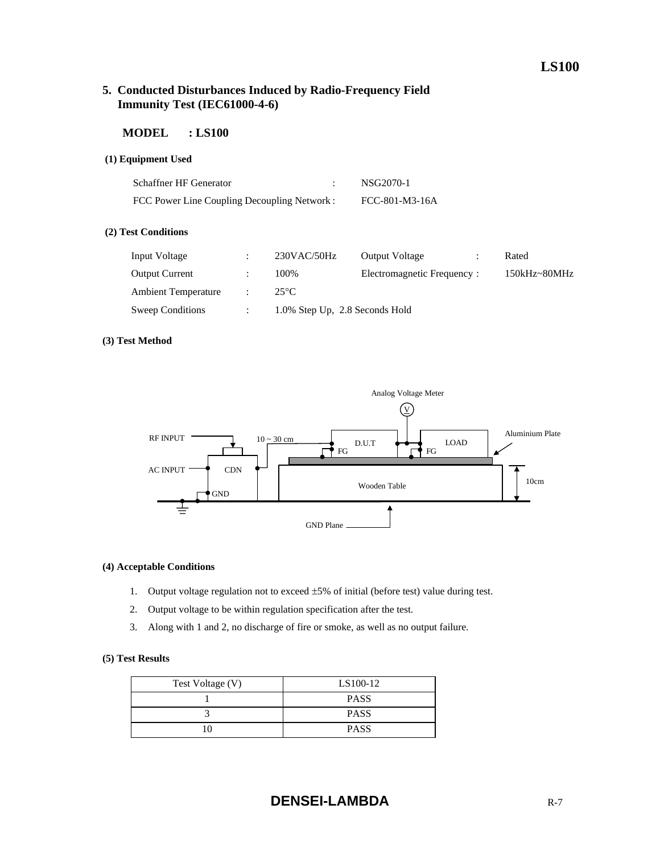# **5. Conducted Disturbances Induced by Radio-Frequency Field Immunity Test (IEC61000-4-6)**

#### **MODEL : LS100**

#### **(1) Equipment Used**

| <b>Schaffner HF Generator</b>               | NSG2070-1      |
|---------------------------------------------|----------------|
| FCC Power Line Coupling Decoupling Network: | FCC-801-M3-16A |

#### **(2) Test Conditions**

| Input Voltage              | $230$ VAC/50Hz                 | <b>Output Voltage</b>      | Rated            |
|----------------------------|--------------------------------|----------------------------|------------------|
| <b>Output Current</b>      | 100\%                          | Electromagnetic Frequency: | $150kHz - 80MHz$ |
| <b>Ambient Temperature</b> | $25^{\circ}$ C                 |                            |                  |
| Sweep Conditions           | 1.0% Step Up, 2.8 Seconds Hold |                            |                  |

#### **(3) Test Method**



#### **(4) Acceptable Conditions**

- 1. Output voltage regulation not to exceed ±5% of initial (before test) value during test.
- 2. Output voltage to be within regulation specification after the test.
- 3. Along with 1 and 2, no discharge of fire or smoke, as well as no output failure.

| Test Voltage (V) | LS100-12    |  |
|------------------|-------------|--|
|                  | <b>PASS</b> |  |
|                  | <b>PASS</b> |  |
| 10               | <b>PASS</b> |  |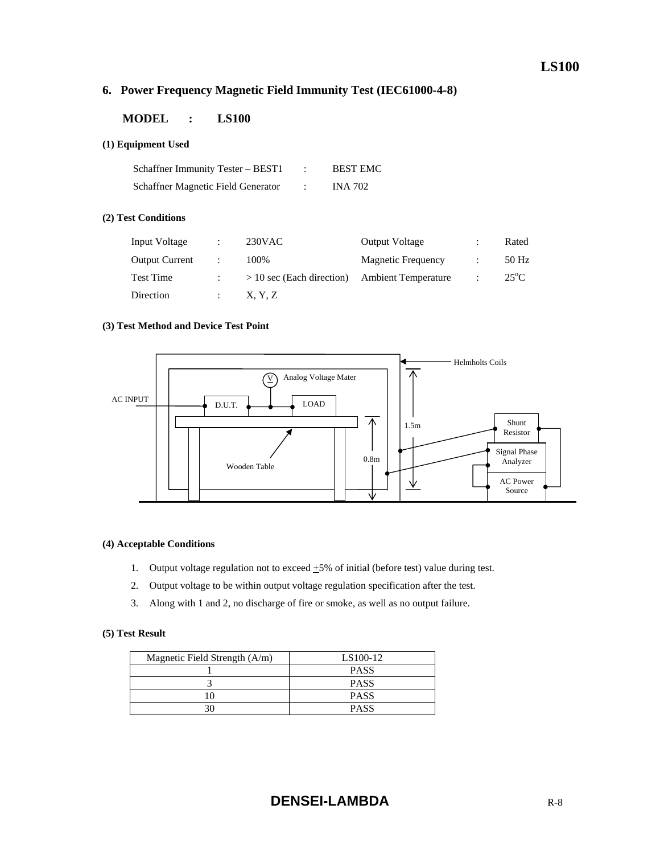# **6. Power Frequency Magnetic Field Immunity Test (IEC61000-4-8)**

# **MODEL : LS100**

#### **(1) Equipment Used**

| Schaffner Immunity Tester – BEST1  | <b>BEST EMC</b> |
|------------------------------------|-----------------|
| Schaffner Magnetic Field Generator | <b>INA 702</b>  |

#### **(2) Test Conditions**

| Input Voltage         | ۰ | $230$ VAC                   | <b>Output Voltage</b>      | ٠<br>۰ | Rated         |
|-----------------------|---|-----------------------------|----------------------------|--------|---------------|
| <b>Output Current</b> |   | 100%                        | <b>Magnetic Frequency</b>  |        | 50 Hz         |
| <b>Test Time</b>      |   | $> 10$ sec (Each direction) | <b>Ambient Temperature</b> |        | $25^{\circ}C$ |
| Direction             |   | X, Y, Z                     |                            |        |               |

#### **(3) Test Method and Device Test Point**



#### **(4) Acceptable Conditions**

- 1. Output voltage regulation not to exceed  $+5\%$  of initial (before test) value during test.
- 2. Output voltage to be within output voltage regulation specification after the test.
- 3. Along with 1 and 2, no discharge of fire or smoke, as well as no output failure.

| Magnetic Field Strength $(A/m)$ | LS100-12    |
|---------------------------------|-------------|
|                                 | <b>PASS</b> |
|                                 | <b>PASS</b> |
|                                 | <b>PASS</b> |
|                                 | <b>PASS</b> |